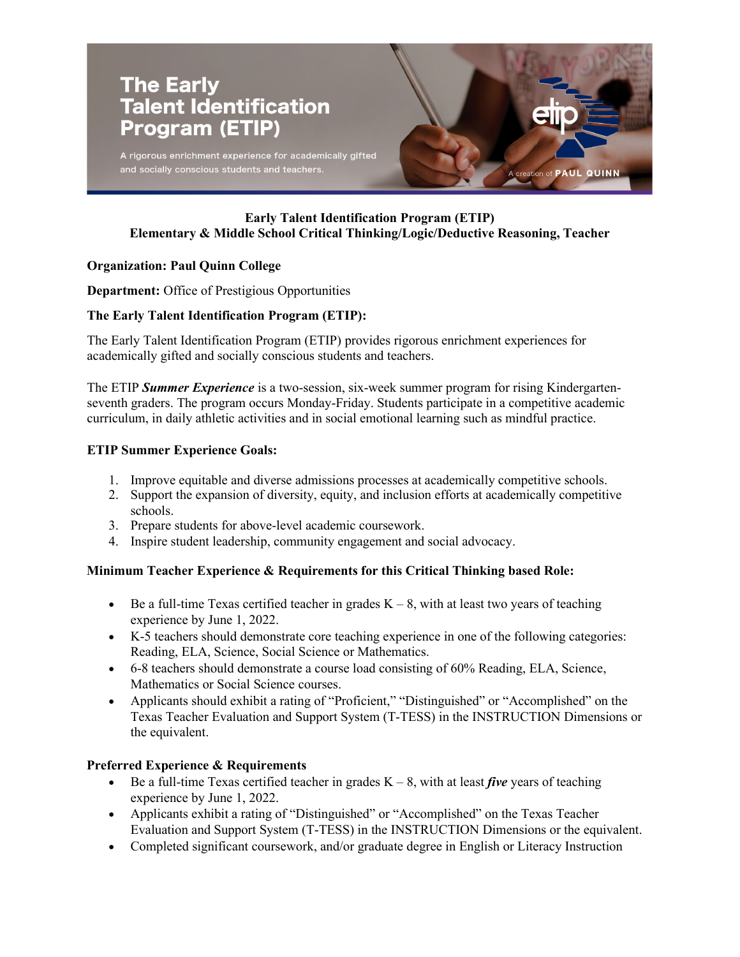

#### **Early Talent Identification Program (ETIP) Elementary & Middle School Critical Thinking/Logic/Deductive Reasoning, Teacher**

## **Organization: Paul Quinn College**

**Department:** Office of Prestigious Opportunities

### **The Early Talent Identification Program (ETIP):**

The Early Talent Identification Program (ETIP) provides rigorous enrichment experiences for academically gifted and socially conscious students and teachers.

The ETIP *Summer Experience* is a two-session, six-week summer program for rising Kindergartenseventh graders. The program occurs Monday-Friday. Students participate in a competitive academic curriculum, in daily athletic activities and in social emotional learning such as mindful practice.

#### **ETIP Summer Experience Goals:**

- 1. Improve equitable and diverse admissions processes at academically competitive schools.
- 2. Support the expansion of diversity, equity, and inclusion efforts at academically competitive schools.
- 3. Prepare students for above-level academic coursework.
- 4. Inspire student leadership, community engagement and social advocacy.

#### **Minimum Teacher Experience & Requirements for this Critical Thinking based Role:**

- Be a full-time Texas certified teacher in grades  $K 8$ , with at least two years of teaching experience by June 1, 2022.
- K-5 teachers should demonstrate core teaching experience in one of the following categories: Reading, ELA, Science, Social Science or Mathematics.
- 6-8 teachers should demonstrate a course load consisting of 60% Reading, ELA, Science, Mathematics or Social Science courses.
- Applicants should exhibit a rating of "Proficient," "Distinguished" or "Accomplished" on the Texas Teacher Evaluation and Support System (T-TESS) in the INSTRUCTION Dimensions or the equivalent.

#### **Preferred Experience & Requirements**

- Be a full-time Texas certified teacher in grades  $K 8$ , with at least *five* years of teaching experience by June 1, 2022.
- Applicants exhibit a rating of "Distinguished" or "Accomplished" on the Texas Teacher Evaluation and Support System (T-TESS) in the INSTRUCTION Dimensions or the equivalent.
- Completed significant coursework, and/or graduate degree in English or Literacy Instruction